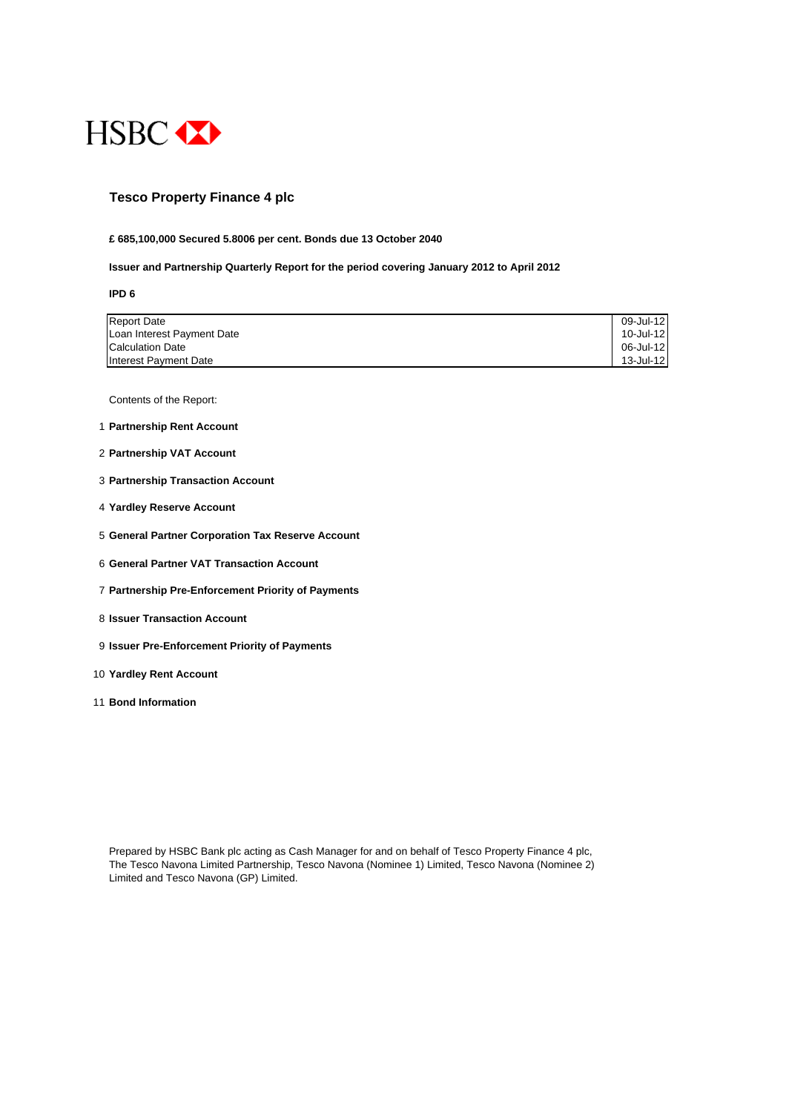

### **Tesco Property Finance 4 plc**

#### **£ 685,100,000 Secured 5.8006 per cent. Bonds due 13 October 2040**

#### **Issuer and Partnership Quarterly Report for the period covering January 2012 to April 2012**

**IPD 6**

| <b>Report Date</b>         | 09-Jul-12 |
|----------------------------|-----------|
| Loan Interest Payment Date | 10-Jul-12 |
| Calculation Date           | 06-Jul-12 |
| Interest Payment Date      | 13-Jul-12 |

Contents of the Report:

- 1 **Partnership Rent Account**
- 2 **Partnership VAT Account**
- 3 **Partnership Transaction Account**
- 4 **Yardley Reserve Account**
- 5 **General Partner Corporation Tax Reserve Account**
- 6 **General Partner VAT Transaction Account**
- 7 **Partnership Pre-Enforcement Priority of Payments**
- 8 **Issuer Transaction Account**
- 9 **Issuer Pre-Enforcement Priority of Payments**
- 10 **Yardley Rent Account**
- 11 **Bond Information**

Prepared by HSBC Bank plc acting as Cash Manager for and on behalf of Tesco Property Finance 4 plc, The Tesco Navona Limited Partnership, Tesco Navona (Nominee 1) Limited, Tesco Navona (Nominee 2) Limited and Tesco Navona (GP) Limited.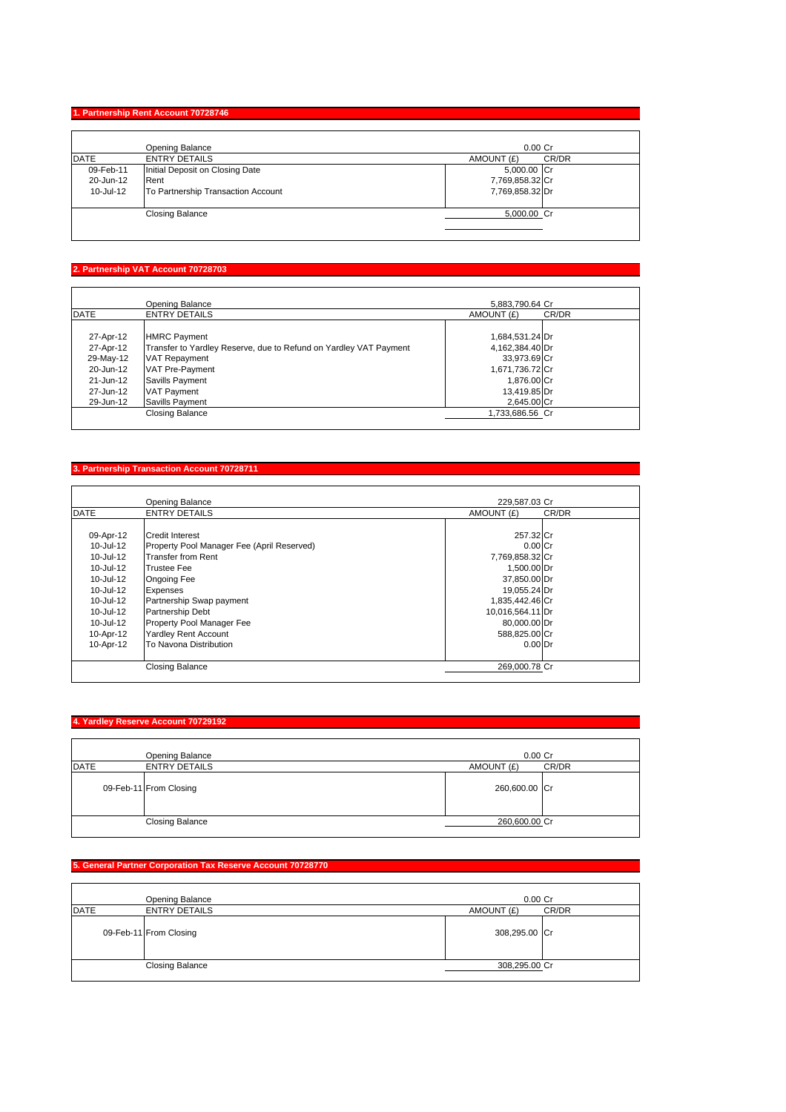# **1. Partnership Rent Account 70728746**

|           | Opening Balance                    | $0.00$ Cr       |       |
|-----------|------------------------------------|-----------------|-------|
| DATE      | <b>ENTRY DETAILS</b>               | AMOUNT (£)      | CR/DR |
| 09-Feb-11 | Initial Deposit on Closing Date    | 5,000.00 Cr     |       |
| 20-Jun-12 | Rent                               | 7,769,858.32 Cr |       |
| 10-Jul-12 | To Partnership Transaction Account | 7,769,858.32 Dr |       |
|           | <b>Closing Balance</b>             | 5,000.00 Cr     |       |

### **2. Partnership VAT Account 70728703**

|             | Opening Balance                                                   | 5,883,790.64 Cr |       |
|-------------|-------------------------------------------------------------------|-----------------|-------|
| <b>DATE</b> | <b>ENTRY DETAILS</b>                                              | AMOUNT (£)      | CR/DR |
| 27-Apr-12   | <b>HMRC Payment</b>                                               | 1,684,531.24 Dr |       |
| 27-Apr-12   | Transfer to Yardley Reserve, due to Refund on Yardley VAT Payment | 4,162,384.40 Dr |       |
| 29-May-12   | <b>VAT Repayment</b>                                              | 33,973.69 Cr    |       |
| 20-Jun-12   | VAT Pre-Payment                                                   | 1,671,736.72 Cr |       |
| 21-Jun-12   | Savills Payment                                                   | 1,876.00 Cr     |       |
| 27-Jun-12   | <b>VAT Payment</b>                                                | 13,419.85 Dr    |       |
| 29-Jun-12   | Savills Payment                                                   | 2,645.00 Cr     |       |
|             | Closing Balance                                                   | 1,733,686.56 Cr |       |

# **3. Partnership Transaction Account 70728711**

|             | <b>Opening Balance</b>                     | 229,587.03 Cr    |       |
|-------------|--------------------------------------------|------------------|-------|
| <b>DATE</b> | <b>ENTRY DETAILS</b>                       | AMOUNT (£)       | CR/DR |
|             |                                            |                  |       |
| 09-Apr-12   | <b>Credit Interest</b>                     | 257.32 Cr        |       |
| 10-Jul-12   | Property Pool Manager Fee (April Reserved) | $0.00$ Cr        |       |
| 10-Jul-12   | <b>Transfer from Rent</b>                  | 7,769,858.32 Cr  |       |
| 10-Jul-12   | <b>Trustee Fee</b>                         | 1,500.00 Dr      |       |
| 10-Jul-12   | Ongoing Fee                                | 37,850.00 Dr     |       |
| 10-Jul-12   | <b>Expenses</b>                            | 19,055.24 Dr     |       |
| 10-Jul-12   | Partnership Swap payment                   | 1,835,442.46 Cr  |       |
| 10-Jul-12   | <b>Partnership Debt</b>                    | 10,016,564.11 Dr |       |
| 10-Jul-12   | Property Pool Manager Fee                  | 80,000.00 Dr     |       |
| 10-Apr-12   | <b>Yardley Rent Account</b>                | 588,825.00 Cr    |       |
| 10-Apr-12   | To Navona Distribution                     | $0.00$ Dr        |       |
|             | <b>Closing Balance</b>                     | 269,000.78 Cr    |       |

### **4. Yardley Reserve Account 70729192**

|             | Opening Balance        |               | $0.00$ Cr |
|-------------|------------------------|---------------|-----------|
| <b>DATE</b> | <b>ENTRY DETAILS</b>   | AMOUNT (£)    | CR/DR     |
|             | 09-Feb-11 From Closing | 260,600.00 Cr |           |
|             | <b>Closing Balance</b> | 260,600.00 Cr |           |

# **5. General Partner Corporation Tax Reserve Account 70728770**

|      | Opening Balance        | $0.00$ Cr     |       |
|------|------------------------|---------------|-------|
| DATE | <b>ENTRY DETAILS</b>   | AMOUNT (£)    | CR/DR |
|      | 09-Feb-11 From Closing | 308,295.00 Cr |       |
|      | <b>Closing Balance</b> | 308,295.00 Cr |       |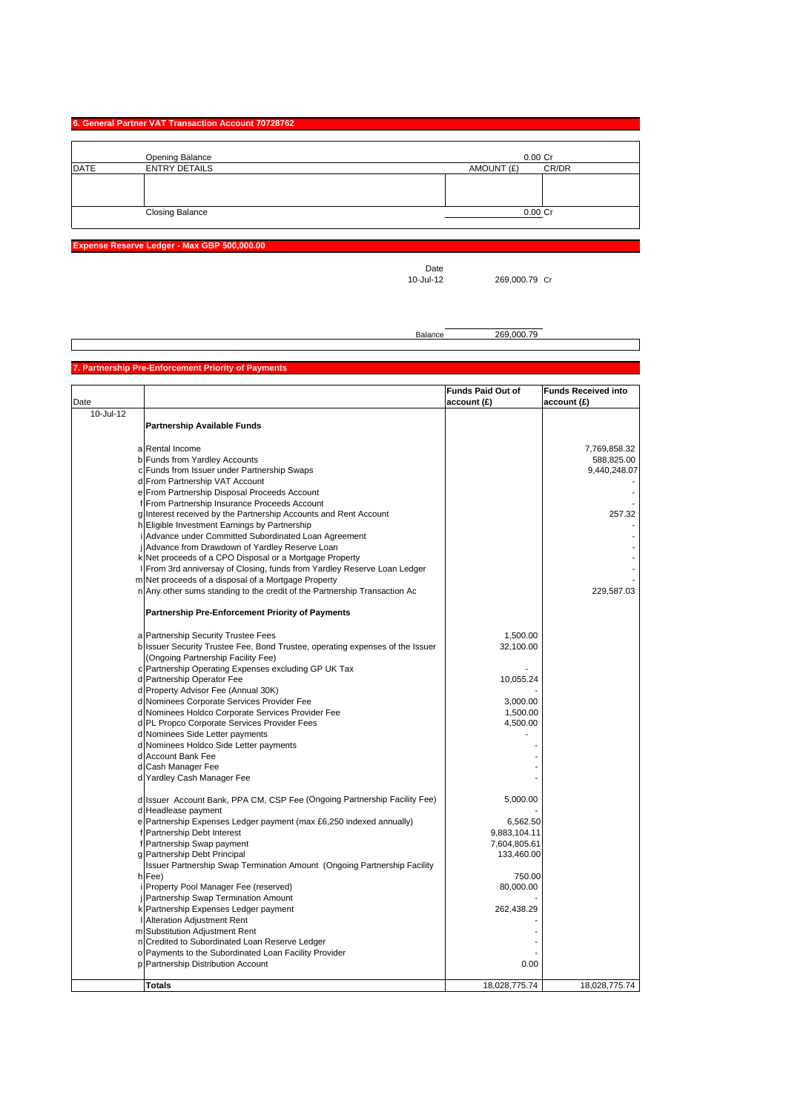#### **6. General Partner VAT Transaction Account 70728762**

|             | Opening Balance        | 0.00 Cr             |
|-------------|------------------------|---------------------|
| <b>DATE</b> | <b>ENTRY DETAILS</b>   | AMOUNT (£)<br>CR/DR |
|             |                        |                     |
|             |                        |                     |
|             |                        |                     |
|             | <b>Closing Balance</b> | 0.00 Cr             |
|             |                        |                     |

**Expense Reserve Ledger - Max GBP 500,000.00**

Date<br>10-Jul-12

269,000.79 Cr

Balance 269,000.79

#### **Partnership Pre-Enforcement Priority of Payment**

|           |                                                                               | <b>Funds Paid Out of</b> | <b>Funds Received into</b> |
|-----------|-------------------------------------------------------------------------------|--------------------------|----------------------------|
| Date      |                                                                               | account(E)               | account(E)                 |
| 10-Jul-12 |                                                                               |                          |                            |
|           | <b>Partnership Available Funds</b>                                            |                          |                            |
|           |                                                                               |                          |                            |
|           | a Rental Income                                                               |                          | 7,769,858.32               |
|           | b Funds from Yardley Accounts                                                 |                          | 588,825.00                 |
|           | c Funds from Issuer under Partnership Swaps                                   |                          | 9,440,248.07               |
|           | d From Partnership VAT Account                                                |                          |                            |
|           | e From Partnership Disposal Proceeds Account                                  |                          |                            |
|           | f From Partnership Insurance Proceeds Account                                 |                          |                            |
|           | g Interest received by the Partnership Accounts and Rent Account              |                          | 257.32                     |
|           | h Eligible Investment Earnings by Partnership                                 |                          |                            |
|           | i Advance under Committed Subordinated Loan Agreement                         |                          |                            |
|           | Advance from Drawdown of Yardley Reserve Loan                                 |                          |                            |
|           | k Net proceeds of a CPO Disposal or a Mortgage Property                       |                          |                            |
|           | I From 3rd anniversay of Closing, funds from Yardley Reserve Loan Ledger      |                          |                            |
|           | m Net proceeds of a disposal of a Mortgage Property                           |                          |                            |
|           | n Any other sums standing to the credit of the Partnership Transaction Ac     |                          | 229,587.03                 |
|           | <b>Partnership Pre-Enforcement Priority of Payments</b>                       |                          |                            |
|           | a Partnership Security Trustee Fees                                           | 1,500.00                 |                            |
|           | b Issuer Security Trustee Fee, Bond Trustee, operating expenses of the Issuer | 32,100.00                |                            |
|           | (Ongoing Partnership Facility Fee)                                            |                          |                            |
|           | c Partnership Operating Expenses excluding GP UK Tax                          |                          |                            |
|           | d Partnership Operator Fee                                                    | 10,055.24                |                            |
|           | d Property Advisor Fee (Annual 30K)                                           |                          |                            |
|           | d Nominees Corporate Services Provider Fee                                    | 3,000.00                 |                            |
|           | d Nominees Holdco Corporate Services Provider Fee                             | 1,500.00                 |                            |
|           | d PL Propco Corporate Services Provider Fees                                  | 4,500.00                 |                            |
|           | d Nominees Side Letter payments                                               |                          |                            |
|           | d Nominees Holdco Side Letter payments                                        |                          |                            |
|           | d Account Bank Fee                                                            |                          |                            |
|           | d Cash Manager Fee                                                            |                          |                            |
|           | d Yardley Cash Manager Fee                                                    |                          |                            |
|           | d Issuer Account Bank, PPA CM, CSP Fee (Ongoing Partnership Facility Fee)     | 5,000.00                 |                            |
|           | d Headlease payment                                                           |                          |                            |
|           | e Partnership Expenses Ledger payment (max £6,250 indexed annually)           | 6,562.50                 |                            |
|           | f Partnership Debt Interest                                                   | 9,883,104.11             |                            |
|           | f Partnership Swap payment                                                    | 7,604,805.61             |                            |
|           | g Partnership Debt Principal                                                  | 133,460.00               |                            |
|           | Issuer Partnership Swap Termination Amount (Ongoing Partnership Facility      |                          |                            |
|           | h Fee)                                                                        | 750.00                   |                            |
|           | Property Pool Manager Fee (reserved)                                          | 80,000.00                |                            |
|           | j Partnership Swap Termination Amount                                         |                          |                            |
|           | k Partnership Expenses Ledger payment                                         | 262,438.29               |                            |
|           | Alteration Adjustment Rent                                                    |                          |                            |
|           | m Substitution Adjustment Rent                                                |                          |                            |
|           | n Credited to Subordinated Loan Reserve Ledger                                |                          |                            |
|           | o Payments to the Subordinated Loan Facility Provider                         |                          |                            |
|           | p Partnership Distribution Account                                            | 0.00                     |                            |
|           | <b>Totals</b>                                                                 | 18,028,775.74            | 18,028,775.74              |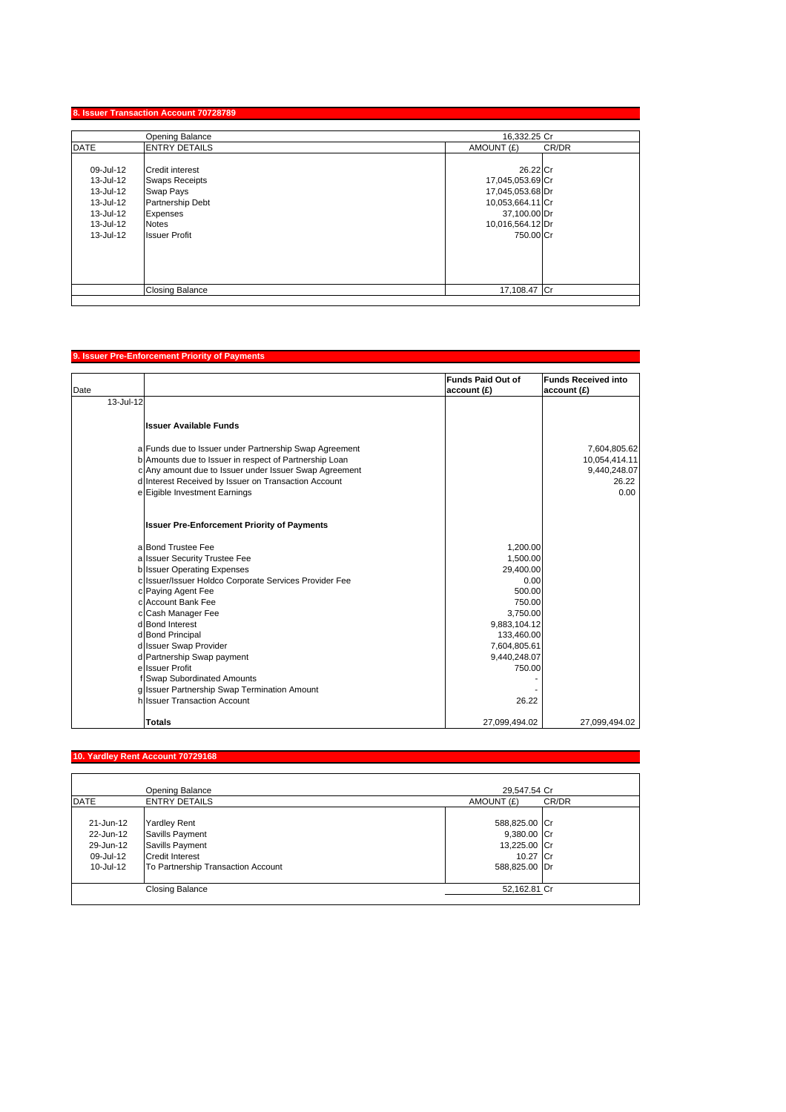### **8. Issuer Transaction Account 70728789**

|             | Opening Balance         | 16,332.25 Cr        |  |
|-------------|-------------------------|---------------------|--|
| <b>DATE</b> | <b>ENTRY DETAILS</b>    | AMOUNT (£)<br>CR/DR |  |
|             |                         |                     |  |
| 09-Jul-12   | <b>Credit interest</b>  | 26.22 Cr            |  |
| 13-Jul-12   | <b>Swaps Receipts</b>   | 17,045,053.69 Cr    |  |
| 13-Jul-12   | Swap Pays               | 17,045,053.68 Dr    |  |
| 13-Jul-12   | <b>Partnership Debt</b> | 10,053,664.11 Cr    |  |
| 13-Jul-12   | <b>Expenses</b>         | 37,100.00 Dr        |  |
| 13-Jul-12   | <b>Notes</b>            | 10,016,564.12 Dr    |  |
| 13-Jul-12   | <b>Issuer Profit</b>    | 750,00 Cr           |  |
|             |                         |                     |  |
|             |                         |                     |  |
|             |                         |                     |  |
|             |                         |                     |  |
|             | <b>Closing Balance</b>  | 17,108.47 Cr        |  |

# **9. Issuer Pre-Enforcement Priority of Payments**

| Date |                                                                                                                | <b>Funds Paid Out of</b><br>account (£) | <b>Funds Received into</b><br>account (£) |
|------|----------------------------------------------------------------------------------------------------------------|-----------------------------------------|-------------------------------------------|
|      | 13-Jul-12                                                                                                      |                                         |                                           |
|      | <b>Issuer Available Funds</b>                                                                                  |                                         |                                           |
|      | a Funds due to Issuer under Partnership Swap Agreement                                                         |                                         | 7,604,805.62                              |
|      | b Amounts due to Issuer in respect of Partnership Loan                                                         |                                         | 10,054,414.11                             |
|      | c Any amount due to Issuer under Issuer Swap Agreement<br>d Interest Received by Issuer on Transaction Account |                                         | 9,440,248.07<br>26.22                     |
|      | e Eigible Investment Earnings                                                                                  |                                         | 0.00                                      |
|      | <b>Issuer Pre-Enforcement Priority of Payments</b>                                                             |                                         |                                           |
|      | a Bond Trustee Fee                                                                                             | 1,200.00                                |                                           |
|      | a Issuer Security Trustee Fee                                                                                  | 1,500.00                                |                                           |
|      | b Issuer Operating Expenses                                                                                    | 29,400.00                               |                                           |
|      | c Issuer/Issuer Holdco Corporate Services Provider Fee                                                         | 0.00                                    |                                           |
|      | c Paying Agent Fee                                                                                             | 500.00                                  |                                           |
|      | cl Account Bank Fee                                                                                            | 750.00                                  |                                           |
|      | c Cash Manager Fee                                                                                             | 3.750.00                                |                                           |
|      | d Bond Interest                                                                                                | 9,883,104.12                            |                                           |
|      | d Bond Principal                                                                                               | 133,460.00                              |                                           |
|      | d Issuer Swap Provider<br>d Partnership Swap payment                                                           | 7,604,805.61<br>9,440,248.07            |                                           |
|      | ellssuer Profit                                                                                                | 750.00                                  |                                           |
|      | Swap Subordinated Amounts                                                                                      |                                         |                                           |
|      | g Issuer Partnership Swap Termination Amount                                                                   |                                         |                                           |
|      | h Issuer Transaction Account                                                                                   | 26.22                                   |                                           |
|      | <b>Totals</b>                                                                                                  | 27,099,494.02                           | 27,099,494.02                             |

# **10. Yardley Rent Account 70729168**

|             | Opening Balance                    | 29,547.54 Cr  |       |
|-------------|------------------------------------|---------------|-------|
| <b>DATE</b> | <b>ENTRY DETAILS</b>               | AMOUNT (£)    | CR/DR |
|             |                                    |               |       |
| 21-Jun-12   | <b>Yardley Rent</b>                | 588,825.00 Cr |       |
| 22-Jun-12   | Savills Payment                    | 9,380.00 Cr   |       |
| 29-Jun-12   | Savills Payment                    | 13,225.00 Cr  |       |
| 09-Jul-12   | <b>Credit Interest</b>             | 10.27 Cr      |       |
| 10-Jul-12   | To Partnership Transaction Account | 588,825.00 Dr |       |
|             | Closing Balance                    | 52,162.81 Cr  |       |